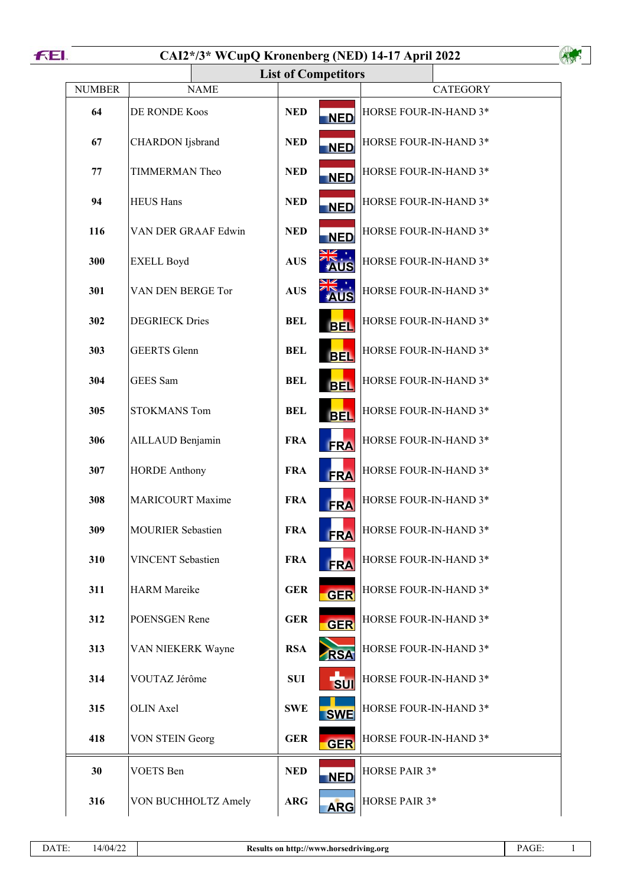



|               |                          | <b>List of Competitors</b> |                       |
|---------------|--------------------------|----------------------------|-----------------------|
| <b>NUMBER</b> | <b>NAME</b>              |                            | <b>CATEGORY</b>       |
| 64            | DE RONDE Koos            | <b>NED</b><br><b>NED</b>   | HORSE FOUR-IN-HAND 3* |
| 67            | <b>CHARDON</b> Ijsbrand  | <b>NED</b><br><b>NED</b>   | HORSE FOUR-IN-HAND 3* |
| 77            | <b>TIMMERMAN Theo</b>    | <b>NED</b><br><b>NED</b>   | HORSE FOUR-IN-HAND 3* |
| 94            | <b>HEUS Hans</b>         | <b>NED</b><br><b>NED</b>   | HORSE FOUR-IN-HAND 3* |
| 116           | VAN DER GRAAF Edwin      | <b>NED</b><br><b>NED</b>   | HORSE FOUR-IN-HAND 3* |
| 300           | <b>EXELL Boyd</b>        | <b>AUS</b><br>AUS          | HORSE FOUR-IN-HAND 3* |
| 301           | VAN DEN BERGE Tor        | <b>AUS</b><br><b>AUS</b>   | HORSE FOUR-IN-HAND 3* |
| 302           | <b>DEGRIECK Dries</b>    | <b>BEL</b><br><b>BEL</b>   | HORSE FOUR-IN-HAND 3* |
| 303           | <b>GEERTS</b> Glenn      | <b>BEL</b><br><b>BEL</b>   | HORSE FOUR-IN-HAND 3* |
| 304           | GEES Sam                 | <b>BEL</b><br><b>BEL</b>   | HORSE FOUR-IN-HAND 3* |
| 305           | <b>STOKMANS Tom</b>      | <b>BEL</b><br><b>BEL</b>   | HORSE FOUR-IN-HAND 3* |
| 306           | AILLAUD Benjamin         | <b>FRA</b><br><b>FRA</b>   | HORSE FOUR-IN-HAND 3* |
| 307           | <b>HORDE Anthony</b>     | <b>FRA</b><br><b>FRA</b>   | HORSE FOUR-IN-HAND 3* |
| 308           | <b>MARICOURT Maxime</b>  | <b>FRA</b><br><b>FRA</b>   | HORSE FOUR-IN-HAND 3* |
| 309           | <b>MOURIER Sebastien</b> | <b>FRA</b><br><b>FRA</b>   | HORSE FOUR-IN-HAND 3* |
| 310           | <b>VINCENT</b> Sebastien | <b>FRA</b><br><b>FRA</b>   | HORSE FOUR-IN-HAND 3* |
| 311           | <b>HARM</b> Mareike      | <b>GER</b><br><b>GER</b>   | HORSE FOUR-IN-HAND 3* |
| 312           | POENSGEN Rene            | <b>GER</b><br><b>GER</b>   | HORSE FOUR-IN-HAND 3* |
| 313           | VAN NIEKERK Wayne        | <b>RSA</b><br><b>RSA</b>   | HORSE FOUR-IN-HAND 3* |
| 314           | VOUTAZ Jérôme            | <b>SUI</b><br><b>SUI</b>   | HORSE FOUR-IN-HAND 3* |
| 315           | <b>OLIN</b> Axel         | <b>SWE</b><br><b>SWE</b>   | HORSE FOUR-IN-HAND 3* |
| 418           | <b>VON STEIN Georg</b>   | <b>GER</b><br><b>GER</b>   | HORSE FOUR-IN-HAND 3* |
| 30            | <b>VOETS</b> Ben         | <b>NED</b><br><b>NED</b>   | HORSE PAIR 3*         |
| 316           | VON BUCHHOLTZ Amely      | <b>ARG</b><br><b>ARG</b>   | HORSE PAIR 3*         |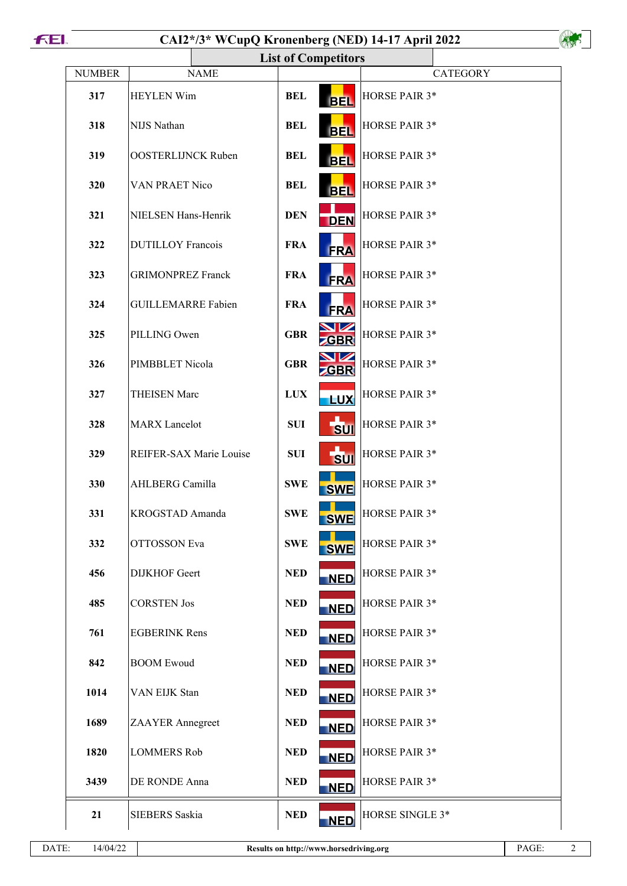|               | <b>List of Competitors</b> |                                        |                      |
|---------------|----------------------------|----------------------------------------|----------------------|
| <b>NUMBER</b> | <b>NAME</b>                |                                        | <b>CATEGORY</b>      |
| 317           | <b>HEYLEN Wim</b>          | <b>BEL</b><br><b>BEL</b>               | HORSE PAIR 3*        |
| 318           | NIJS Nathan                | <b>BEL</b><br><b>BEL</b>               | <b>HORSE PAIR 3*</b> |
| 319           | <b>OOSTERLIJNCK Ruben</b>  | <b>BEL</b><br><b>BEL</b>               | HORSE PAIR 3*        |
| 320           | <b>VAN PRAET Nico</b>      | <b>BEL</b><br><b>BEL</b>               | HORSE PAIR 3*        |
| 321           | NIELSEN Hans-Henrik        | <b>DEN</b><br><b>DEN</b>               | HORSE PAIR 3*        |
| 322           | <b>DUTILLOY Francois</b>   | <b>FRA</b><br><b>FRA</b>               | HORSE PAIR 3*        |
| 323           | <b>GRIMONPREZ Franck</b>   | <b>FRA</b><br><b>FRA</b>               | HORSE PAIR 3*        |
| 324           | <b>GUILLEMARRE Fabien</b>  | <b>FRA</b><br><b>FRA</b>               | HORSE PAIR 3*        |
| 325           | PILLING Owen               | <b>GBR</b><br><b>GBR</b>               | HORSE PAIR 3*        |
| 326           | PIMBBLET Nicola            | <b>NZ</b><br><b>GBR</b><br><b>ZGBR</b> | HORSE PAIR 3*        |
| 327           | <b>THEISEN Marc</b>        | <b>LUX</b><br><b>LUX</b>               | HORSE PAIR 3*        |
| 328           | <b>MARX</b> Lancelot       | <b>SUI</b><br><b>SUI</b>               | HORSE PAIR 3*        |
| 329           | REIFER-SAX Marie Louise    | <b>SUI</b><br><b>SUI</b>               | HORSE PAIR 3*        |
| 330           | AHLBERG Camilla            | <b>SWE</b><br><b>SWE</b>               | HORSE PAIR 3*        |
| 331           | KROGSTAD Amanda            | <b>SWE</b><br><b>SWE</b>               | HORSE PAIR 3*        |
| 332           | <b>OTTOSSON</b> Eva        | <b>SWE</b><br><b>SWE</b>               | HORSE PAIR 3*        |
| 456           | <b>DIJKHOF</b> Geert       | <b>NED</b><br><b>NED</b>               | HORSE PAIR 3*        |
| 485           | <b>CORSTEN Jos</b>         | <b>NED</b><br><b>NED</b>               | HORSE PAIR 3*        |
| 761           | <b>EGBERINK Rens</b>       | <b>NED</b><br><b>NED</b>               | HORSE PAIR 3*        |
| 842           | <b>BOOM Ewoud</b>          | <b>NED</b><br><b>NED</b>               | HORSE PAIR 3*        |
| 1014          | VAN EIJK Stan              | <b>NED</b><br><b>NED</b>               | HORSE PAIR 3*        |
| 1689          | ZAAYER Annegreet           | <b>NED</b><br><b>NED</b>               | HORSE PAIR 3*        |
| 1820          | <b>LOMMERS Rob</b>         | <b>NED</b><br><b>NED</b>               | HORSE PAIR 3*        |
| 3439          | DE RONDE Anna              | <b>NED</b><br><b>NED</b>               | HORSE PAIR 3*        |
| 21            | <b>SIEBERS</b> Saskia      | <b>NED</b><br><b>NED</b>               | HORSE SINGLE 3*      |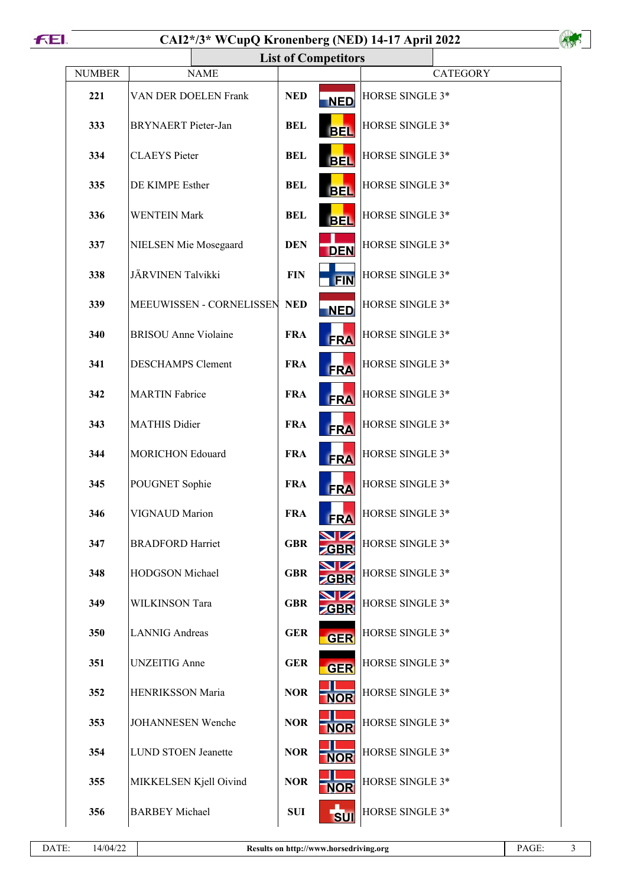|               |                             |            | <b>List of Competitors</b> |                 |
|---------------|-----------------------------|------------|----------------------------|-----------------|
| <b>NUMBER</b> | <b>NAME</b>                 |            |                            | <b>CATEGORY</b> |
| 221           | VAN DER DOELEN Frank        | <b>NED</b> | <b>NED</b>                 | HORSE SINGLE 3* |
| 333           | <b>BRYNAERT</b> Pieter-Jan  | <b>BEL</b> | <b>BEL</b>                 | HORSE SINGLE 3* |
| 334           | <b>CLAEYS</b> Pieter        | <b>BEL</b> | <b>BEL</b>                 | HORSE SINGLE 3* |
| 335           | DE KIMPE Esther             | <b>BEL</b> | <b>BEL</b>                 | HORSE SINGLE 3* |
| 336           | <b>WENTEIN Mark</b>         | <b>BEL</b> | <b>BEL</b>                 | HORSE SINGLE 3* |
| 337           | NIELSEN Mie Mosegaard       | <b>DEN</b> | <b>DEN</b>                 | HORSE SINGLE 3* |
| 338           | JÄRVINEN Talvikki           | <b>FIN</b> | <b>FIN</b>                 | HORSE SINGLE 3* |
| 339           | MEEUWISSEN - CORNELISSEN    | <b>NED</b> | <b>NED</b>                 | HORSE SINGLE 3* |
| 340           | <b>BRISOU</b> Anne Violaine | <b>FRA</b> | <b>FRA</b>                 | HORSE SINGLE 3* |
| 341           | <b>DESCHAMPS Clement</b>    | <b>FRA</b> | <b>FRA</b>                 | HORSE SINGLE 3* |
| 342           | <b>MARTIN</b> Fabrice       | <b>FRA</b> | <b>FRA</b>                 | HORSE SINGLE 3* |
| 343           | <b>MATHIS Didier</b>        | <b>FRA</b> | <b>FRA</b>                 | HORSE SINGLE 3* |
| 344           | <b>MORICHON Edouard</b>     | <b>FRA</b> | <b>FRA</b>                 | HORSE SINGLE 3* |
| 345           | POUGNET Sophie              | <b>FRA</b> | <b>FRA</b>                 | HORSE SINGLE 3* |
| 346           | VIGNAUD Marion              | <b>FRA</b> | <b>FRA</b>                 | HORSE SINGLE 3* |
| 347           | <b>BRADFORD Harriet</b>     | <b>GBR</b> | GBR                        | HORSE SINGLE 3* |
| 348           | HODGSON Michael             | <b>GBR</b> | GBR                        | HORSE SINGLE 3* |
| 349           | WILKINSON Tara              | <b>GBR</b> | <b>GBR</b>                 | HORSE SINGLE 3* |
| 350           | <b>LANNIG</b> Andreas       | <b>GER</b> | <b>GER</b>                 | HORSE SINGLE 3* |
| 351           | <b>UNZEITIG</b> Anne        | <b>GER</b> | <b>GER</b>                 | HORSE SINGLE 3* |
| 352           | HENRIKSSON Maria            | <b>NOR</b> | <b>NOR</b>                 | HORSE SINGLE 3* |
| 353           | JOHANNESEN Wenche           | <b>NOR</b> | <b>NOR</b>                 | HORSE SINGLE 3* |
| 354           | <b>LUND STOEN Jeanette</b>  | <b>NOR</b> | <b>NOR</b>                 | HORSE SINGLE 3* |
| 355           | MIKKELSEN Kjell Oivind      | <b>NOR</b> | <b>NOR</b>                 | HORSE SINGLE 3* |
| 356           | <b>BARBEY</b> Michael       | <b>SUI</b> | <b>SUI</b>                 | HORSE SINGLE 3* |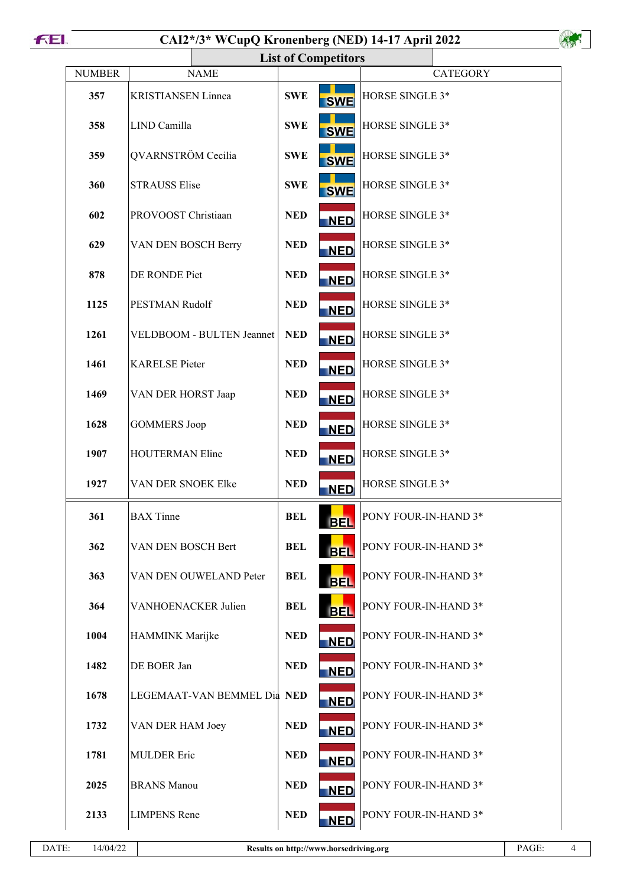|               |                             | <b>List of Competitors</b> |                                    |                 |
|---------------|-----------------------------|----------------------------|------------------------------------|-----------------|
| <b>NUMBER</b> | <b>NAME</b>                 |                            |                                    | <b>CATEGORY</b> |
| 357           | <b>KRISTIANSEN Linnea</b>   | <b>SWE</b>                 | HORSE SINGLE 3*<br><b>SWE</b>      |                 |
| 358           | LIND Camilla                | <b>SWE</b>                 | HORSE SINGLE 3*<br><b>SWE</b>      |                 |
| 359           | QVARNSTRÖM Cecilia          | <b>SWE</b>                 | HORSE SINGLE 3*<br><b>SWE</b>      |                 |
| 360           | <b>STRAUSS Elise</b>        | <b>SWE</b>                 | HORSE SINGLE 3*<br><b>SWE</b>      |                 |
| 602           | PROVOOST Christiaan         | <b>NED</b>                 | HORSE SINGLE 3*<br><b>NED</b>      |                 |
| 629           | VAN DEN BOSCH Berry         | <b>NED</b>                 | HORSE SINGLE 3*<br><b>NED</b>      |                 |
| 878           | DE RONDE Piet               | <b>NED</b>                 | HORSE SINGLE 3*<br><b>NED</b>      |                 |
| 1125          | PESTMAN Rudolf              | <b>NED</b>                 | HORSE SINGLE 3*<br><b>NED</b>      |                 |
| 1261          | VELDBOOM - BULTEN Jeannet   | <b>NED</b>                 | HORSE SINGLE 3*<br><b>NED</b>      |                 |
| 1461          | <b>KARELSE</b> Pieter       | <b>NED</b>                 | HORSE SINGLE 3*<br><b>NED</b>      |                 |
| 1469          | VAN DER HORST Jaap          | <b>NED</b>                 | HORSE SINGLE 3*<br><b>NED</b>      |                 |
| 1628          | <b>GOMMERS</b> Joop         | <b>NED</b>                 | HORSE SINGLE 3*<br><b>NED</b>      |                 |
| 1907          | <b>HOUTERMAN Eline</b>      | <b>NED</b>                 | HORSE SINGLE 3*<br><b>NED</b>      |                 |
| 1927          | VAN DER SNOEK Elke          | <b>NED</b>                 | HORSE SINGLE 3*<br><b>NED</b>      |                 |
| 361           | <b>BAX</b> Tinne            | <b>BEL</b>                 | PONY FOUR-IN-HAND 3*<br><b>BEL</b> |                 |
| 362           | VAN DEN BOSCH Bert          | <b>BEL</b>                 | PONY FOUR-IN-HAND 3*<br><b>BEL</b> |                 |
| 363           | VAN DEN OUWELAND Peter      | <b>BEL</b>                 | PONY FOUR-IN-HAND 3*<br><b>BEL</b> |                 |
| 364           | VANHOENACKER Julien         | <b>BEL</b>                 | PONY FOUR-IN-HAND 3*<br><b>BEL</b> |                 |
| 1004          | HAMMINK Marijke             | <b>NED</b>                 | PONY FOUR-IN-HAND 3*<br><b>NED</b> |                 |
| 1482          | DE BOER Jan                 | <b>NED</b>                 | PONY FOUR-IN-HAND 3*<br><b>NED</b> |                 |
| 1678          | LEGEMAAT-VAN BEMMEL Dia NED |                            | PONY FOUR-IN-HAND 3*<br><b>NED</b> |                 |
| 1732          | VAN DER HAM Joey            | <b>NED</b>                 | PONY FOUR-IN-HAND 3*<br><b>NED</b> |                 |
| 1781          | <b>MULDER Eric</b>          | <b>NED</b>                 | PONY FOUR-IN-HAND 3*<br><b>NED</b> |                 |
| 2025          | <b>BRANS</b> Manou          | <b>NED</b>                 | PONY FOUR-IN-HAND 3*<br><b>NED</b> |                 |
| 2133          | <b>LIMPENS</b> Rene         | <b>NED</b>                 | PONY FOUR-IN-HAND 3*<br><b>NED</b> |                 |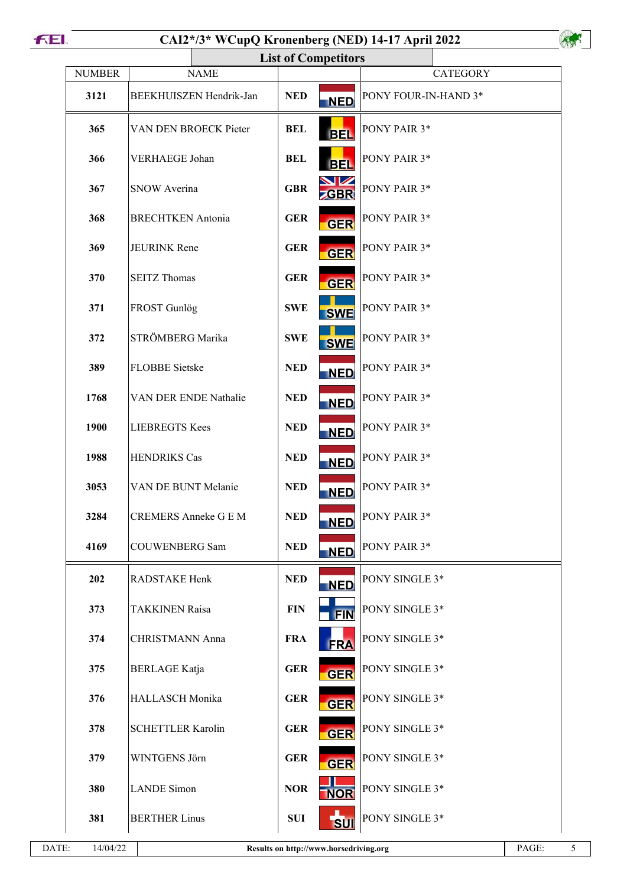```
FEI.
```

| <b>NUMBER</b> | <b>NAME</b>                 |            |                         | <b>CATEGORY</b>                  |
|---------------|-----------------------------|------------|-------------------------|----------------------------------|
| 3121          | BEEKHUISZEN Hendrik-Jan     | <b>NED</b> | <b>NED</b>              | PONY FOUR-IN-HAND 3*             |
| 365           | VAN DEN BROECK Pieter       | <b>BEL</b> | <b>BEL</b>              | PONY PAIR 3*                     |
| 366           | <b>VERHAEGE Johan</b>       | <b>BEL</b> | <b>BEL</b>              | PONY PAIR 3*                     |
| 367           | <b>SNOW Averina</b>         | <b>GBR</b> | <b>NZ</b><br><b>GBR</b> | PONY PAIR 3*                     |
| 368           | <b>BRECHTKEN</b> Antonia    | <b>GER</b> | <b>GER</b>              | PONY PAIR 3*                     |
| 369           | <b>JEURINK Rene</b>         | <b>GER</b> | <b>GER</b>              | PONY PAIR 3*                     |
| 370           | <b>SEITZ Thomas</b>         | <b>GER</b> | <b>GER</b>              | PONY PAIR 3*                     |
| 371           | FROST Gunlög                | <b>SWE</b> | <b>SWE</b>              | PONY PAIR 3*                     |
| 372           | STRÖMBERG Marika            | <b>SWE</b> | <b>SWE</b>              | PONY PAIR 3*                     |
| 389           | <b>FLOBBE Sietske</b>       | <b>NED</b> | <b>NED</b>              | PONY PAIR 3*                     |
| 1768          | VAN DER ENDE Nathalie       | <b>NED</b> | <b>NED</b>              | PONY PAIR 3*                     |
| 1900          | <b>LIEBREGTS Kees</b>       | <b>NED</b> | <b>NED</b>              | PONY PAIR 3*                     |
| 1988          | <b>HENDRIKS Cas</b>         | <b>NED</b> | <b>NED</b>              | PONY PAIR 3*                     |
| 3053          | VAN DE BUNT Melanie         | <b>NED</b> | <b>NED</b>              | PONY PAIR 3*                     |
| 3284          | <b>CREMERS Anneke G E M</b> | <b>NED</b> | <b>NED</b>              | <b>PONY PAIR <math>3*</math></b> |
| 4169          | <b>COUWENBERG Sam</b>       | <b>NED</b> | <b>NED</b>              | PONY PAIR 3*                     |
| 202           | <b>RADSTAKE Henk</b>        | <b>NED</b> | <b>NED</b>              | PONY SINGLE 3*                   |
| 373           | <b>TAKKINEN Raisa</b>       | <b>FIN</b> | <b>FIN</b>              | PONY SINGLE 3*                   |
| 374           | <b>CHRISTMANN Anna</b>      | <b>FRA</b> | <b>FRA</b>              | PONY SINGLE 3*                   |
| 375           | <b>BERLAGE</b> Katja        | <b>GER</b> | <b>GER</b>              | PONY SINGLE 3*                   |
| 376           | <b>HALLASCH</b> Monika      | <b>GER</b> | <b>GER</b>              | PONY SINGLE 3*                   |
| 378           | <b>SCHETTLER Karolin</b>    | <b>GER</b> | <b>GER</b>              | PONY SINGLE 3*                   |
| 379           | WINTGENS Jörn               | <b>GER</b> | <b>GER</b>              | PONY SINGLE 3*                   |
| 380           | <b>LANDE</b> Simon          | <b>NOR</b> | <b>NOR</b>              | PONY SINGLE 3*                   |
| 381           | <b>BERTHER Linus</b>        | <b>SUI</b> | <b>SUI</b>              | PONY SINGLE 3*                   |

 $\mathcal{A}_{\infty}$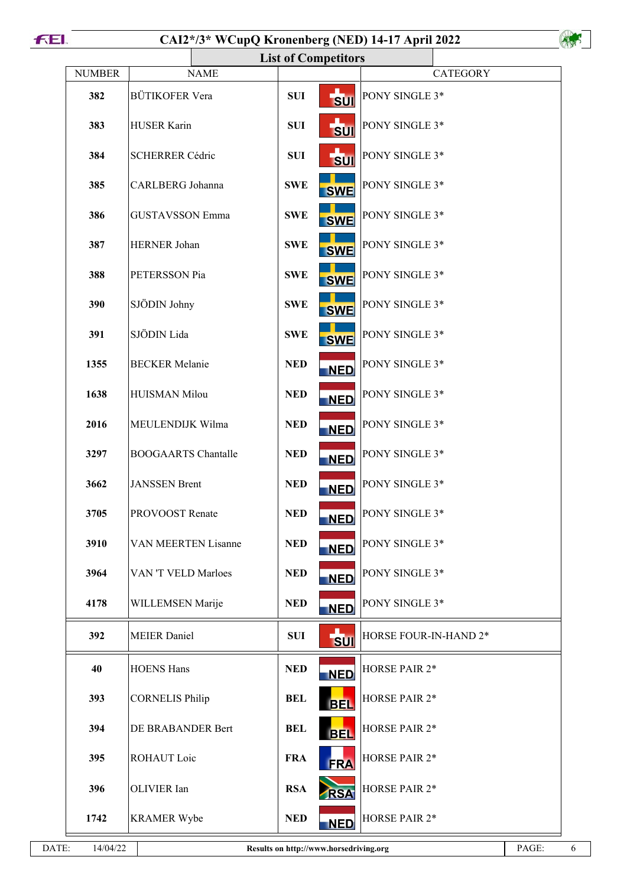|               |                            | <b>List of Competitors</b> |                       |
|---------------|----------------------------|----------------------------|-----------------------|
| <b>NUMBER</b> | <b>NAME</b>                |                            | <b>CATEGORY</b>       |
| 382           | <b>BÜTIKOFER Vera</b>      | <b>SUI</b><br><b>SUI</b>   | PONY SINGLE 3*        |
| 383           | <b>HUSER Karin</b>         | <b>SUI</b><br><b>SUI</b>   | PONY SINGLE 3*        |
| 384           | <b>SCHERRER Cédric</b>     | <b>SUI</b><br><b>SUI</b>   | PONY SINGLE 3*        |
| 385           | CARLBERG Johanna           | <b>SWE</b><br><b>SWE</b>   | PONY SINGLE 3*        |
| 386           | <b>GUSTAVSSON Emma</b>     | <b>SWE</b><br><b>SWE</b>   | PONY SINGLE 3*        |
| 387           | <b>HERNER Johan</b>        | <b>SWE</b><br><b>SWE</b>   | PONY SINGLE 3*        |
| 388           | PETERSSON Pia              | <b>SWE</b><br><b>SWE</b>   | PONY SINGLE 3*        |
| 390           | SJÖDIN Johny               | <b>SWE</b><br><b>SWE</b>   | PONY SINGLE 3*        |
| 391           | SJÖDIN Lida                | <b>SWE</b><br><b>SWE</b>   | PONY SINGLE 3*        |
| 1355          | <b>BECKER</b> Melanie      | <b>NED</b><br><b>NED</b>   | PONY SINGLE 3*        |
| 1638          | <b>HUISMAN Milou</b>       | <b>NED</b><br><b>NED</b>   | PONY SINGLE 3*        |
| 2016          | MEULENDIJK Wilma           | <b>NED</b><br><b>NED</b>   | PONY SINGLE 3*        |
| 3297          | <b>BOOGAARTS Chantalle</b> | <b>NED</b><br><b>NED</b>   | PONY SINGLE 3*        |
| 3662          | <b>JANSSEN</b> Brent       | <b>NED</b><br><b>NED</b>   | PONY SINGLE 3*        |
| 3705          | PROVOOST Renate            | <b>NED</b><br><b>NED</b>   | PONY SINGLE 3*        |
| 3910          | <b>VAN MEERTEN Lisanne</b> | <b>NED</b><br><b>NED</b>   | PONY SINGLE 3*        |
| 3964          | VAN 'T VELD Marloes        | <b>NED</b><br><b>NED</b>   | PONY SINGLE 3*        |
| 4178          | WILLEMSEN Marije           | <b>NED</b><br><b>NED</b>   | PONY SINGLE 3*        |
| 392           | <b>MEIER</b> Daniel        | <b>SUI</b><br><b>SUI</b>   | HORSE FOUR-IN-HAND 2* |
| 40            | <b>HOENS Hans</b>          | <b>NED</b><br><b>NED</b>   | HORSE PAIR 2*         |
| 393           | <b>CORNELIS Philip</b>     | <b>BEL</b><br><b>BEL</b>   | HORSE PAIR 2*         |
| 394           | DE BRABANDER Bert          | <b>BEL</b><br><b>BEL</b>   | <b>HORSE PAIR 2*</b>  |
| 395           | ROHAUT Loic                | <b>FRA</b><br><b>FRA</b>   | HORSE PAIR 2*         |
| 396           | OLIVIER Ian                | <b>RSA</b><br><b>RSA</b>   | HORSE PAIR 2*         |
| 1742          | <b>KRAMER Wybe</b>         | <b>NED</b><br><b>NED</b>   | <b>HORSE PAIR 2*</b>  |